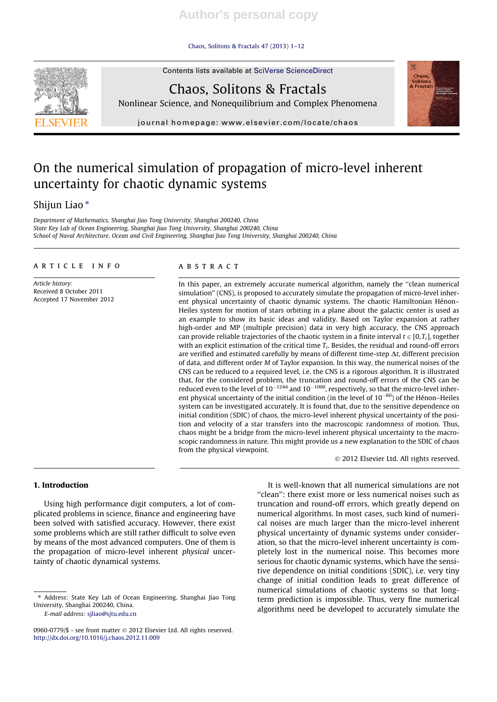## Chaos, Solitons & Fractals 47 (2013) 1–12



Contents lists available at SciVerse ScienceDirect Chaos, Solitons & Fractals





journal homepage: www.elsevier.com/locate/chaos

# On the numerical simulation of propagation of micro-level inherent uncertainty for chaotic dynamic systems

## Shijun Liao<sup>\*</sup>

Department of Mathematics, Shanghai Jiao Tong University, Shanghai 200240, China State Key Lab of Ocean Engineering, Shanghai Jiao Tong University, Shanghai 200240, China School of Naval Architecture, Ocean and Civil Engineering, Shanghai Jiao Tong University, Shanghai 200240, China

## article info

Article history: Received 8 October 2011 Accepted 17 November 2012

## **ABSTRACT**

In this paper, an extremely accurate numerical algorithm, namely the ''clean numerical simulation'' (CNS), is proposed to accurately simulate the propagation of micro-level inherent physical uncertainty of chaotic dynamic systems. The chaotic Hamiltonian Hénon– Heiles system for motion of stars orbiting in a plane about the galactic center is used as an example to show its basic ideas and validity. Based on Taylor expansion at rather high-order and MP (multiple precision) data in very high accuracy, the CNS approach can provide reliable trajectories of the chaotic system in a finite interval  $t \in [0,T_c]$ , together with an explicit estimation of the critical time  $T_c$ . Besides, the residual and round-off errors are verified and estimated carefully by means of different time-step  $\Delta t$ , different precision of data, and different order M of Taylor expansion. In this way, the numerical noises of the CNS can be reduced to a required level, i.e. the CNS is a rigorous algorithm. It is illustrated that, for the considered problem, the truncation and round-off errors of the CNS can be reduced even to the level of  $10^{-1244}$  and  $10^{-1000}$ , respectively, so that the micro-level inherent physical uncertainty of the initial condition (in the level of  $10^{-60}$ ) of the Hénon–Heiles system can be investigated accurately. It is found that, due to the sensitive dependence on initial condition (SDIC) of chaos, the micro-level inherent physical uncertainty of the position and velocity of a star transfers into the macroscopic randomness of motion. Thus, chaos might be a bridge from the micro-level inherent physical uncertainty to the macroscopic randomness in nature. This might provide us a new explanation to the SDIC of chaos from the physical viewpoint.

- 2012 Elsevier Ltd. All rights reserved.

## 1. Introduction

Using high performance digit computers, a lot of complicated problems in science, finance and engineering have been solved with satisfied accuracy. However, there exist some problems which are still rather difficult to solve even by means of the most advanced computers. One of them is the propagation of micro-level inherent physical uncertainty of chaotic dynamical systems.

E-mail address: sjliao@sjtu.edu.cn

It is well-known that all numerical simulations are not ''clean'': there exist more or less numerical noises such as truncation and round-off errors, which greatly depend on numerical algorithms. In most cases, such kind of numerical noises are much larger than the micro-level inherent physical uncertainty of dynamic systems under consideration, so that the micro-level inherent uncertainty is completely lost in the numerical noise. This becomes more serious for chaotic dynamic systems, which have the sensitive dependence on initial conditions (SDIC), i.e. very tiny change of initial condition leads to great difference of numerical simulations of chaotic systems so that longterm prediction is impossible. Thus, very fine numerical algorithms need be developed to accurately simulate the

<sup>⇑</sup> Address: State Key Lab of Ocean Engineering, Shanghai Jiao Tong University, Shanghai 200240, China.

<sup>0960-0779/\$ -</sup> see front matter © 2012 Elsevier Ltd. All rights reserved. http://dx.doi.org/10.1016/j.chaos.2012.11.009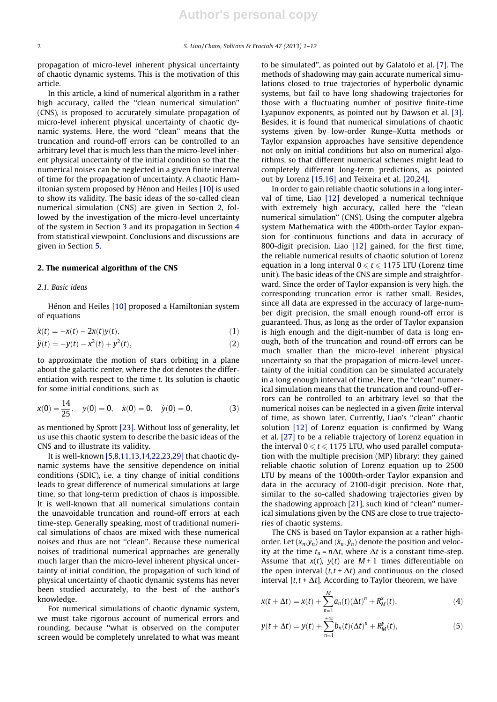propagation of micro-level inherent physical uncertainty of chaotic dynamic systems. This is the motivation of this article.

In this article, a kind of numerical algorithm in a rather high accuracy, called the ''clean numerical simulation'' (CNS), is proposed to accurately simulate propagation of micro-level inherent physical uncertainty of chaotic dynamic systems. Here, the word ''clean'' means that the truncation and round-off errors can be controlled to an arbitrary level that is much less than the micro-level inherent physical uncertainty of the initial condition so that the numerical noises can be neglected in a given finite interval of time for the propagation of uncertainty. A chaotic Hamiltonian system proposed by Hénon and Heiles [10] is used to show its validity. The basic ideas of the so-called clean numerical simulation (CNS) are given in Section 2, followed by the investigation of the micro-level uncertainty of the system in Section 3 and its propagation in Section 4 from statistical viewpoint. Conclusions and discussions are given in Section 5.

## 2. The numerical algorithm of the CNS

## 2.1. Basic ideas

Hénon and Heiles [10] proposed a Hamiltonian system of equations

$$
\ddot{x}(t) = -x(t) - 2x(t)y(t),\tag{1}
$$

$$
\ddot{y}(t) = -y(t) - x^2(t) + y^2(t),
$$
\n(2)

to approximate the motion of stars orbiting in a plane about the galactic center, where the dot denotes the differentiation with respect to the time t. Its solution is chaotic for some initial conditions, such as

$$
x(0) = \frac{14}{25}, \quad y(0) = 0, \quad \dot{x}(0) = 0, \quad \dot{y}(0) = 0,
$$
 (3)

as mentioned by Sprott [23]. Without loss of generality, let us use this chaotic system to describe the basic ideas of the CNS and to illustrate its validity.

It is well-known [5,8,11,13,14,22,23,29] that chaotic dynamic systems have the sensitive dependence on initial conditions (SDIC), i.e. a tiny change of initial conditions leads to great difference of numerical simulations at large time, so that long-term prediction of chaos is impossible. It is well-known that all numerical simulations contain the unavoidable truncation and round-off errors at each time-step. Generally speaking, most of traditional numerical simulations of chaos are mixed with these numerical noises and thus are not ''clean''. Because these numerical noises of traditional numerical approaches are generally much larger than the micro-level inherent physical uncertainty of initial condition, the propagation of such kind of physical uncertainty of chaotic dynamic systems has never been studied accurately, to the best of the author's knowledge.

For numerical simulations of chaotic dynamic system, we must take rigorous account of numerical errors and rounding, because ''what is observed on the computer screen would be completely unrelated to what was meant to be simulated'', as pointed out by Galatolo et al. [7]. The methods of shadowing may gain accurate numerical simulations closed to true trajectories of hyperbolic dynamic systems, but fail to have long shadowing trajectories for those with a fluctuating number of positive finite-time Lyapunov exponents, as pointed out by Dawson et al. [3]. Besides, it is found that numerical simulations of chaotic systems given by low-order Runge–Kutta methods or Taylor expansion approaches have sensitive dependence not only on initial conditions but also on numerical algorithms, so that different numerical schemes might lead to completely different long-term predictions, as pointed out by Lorenz [15,16] and Teixeira et al. [20,24].

In order to gain reliable chaotic solutions in a long interval of time, Liao [12] developed a numerical technique with extremely high accuracy, called here the "clean numerical simulation'' (CNS). Using the computer algebra system Mathematica with the 400th-order Taylor expansion for continuous functions and data in accuracy of 800-digit precision, Liao [12] gained, for the first time, the reliable numerical results of chaotic solution of Lorenz equation in a long interval  $0 \le t \le 1175$  LTU (Lorenz time unit). The basic ideas of the CNS are simple and straightforward. Since the order of Taylor expansion is very high, the corresponding truncation error is rather small. Besides, since all data are expressed in the accuracy of large-number digit precision, the small enough round-off error is guaranteed. Thus, as long as the order of Taylor expansion is high enough and the digit-number of data is long enough, both of the truncation and round-off errors can be much smaller than the micro-level inherent physical uncertainty so that the propagation of micro-level uncertainty of the initial condition can be simulated accurately in a long enough interval of time. Here, the ''clean'' numerical simulation means that the truncation and round-off errors can be controlled to an arbitrary level so that the numerical noises can be neglected in a given finite interval of time, as shown later. Currently, Liao's ''clean'' chaotic solution [12] of Lorenz equation is confirmed by Wang et al. [27] to be a reliable trajectory of Lorenz equation in the interval  $0 \le t \le 1175$  LTU, who used parallel computation with the multiple precision (MP) library: they gained reliable chaotic solution of Lorenz equation up to 2500 LTU by means of the 1000th-order Taylor expansion and data in the accuracy of 2100-digit precision. Note that, similar to the so-called shadowing trajectories given by the shadowing approach [21], such kind of ''clean'' numerical simulations given by the CNS are close to true trajectories of chaotic systems.

The CNS is based on Taylor expansion at a rather highorder. Let  $(x_n, y_n)$  and  $(\dot{x}_n, \dot{y}_n)$  denote the position and velocity at the time  $t_n = n\Delta t$ , where  $\Delta t$  is a constant time-step. Assume that  $x(t)$ ,  $y(t)$  are  $M+1$  times differentiable on the open interval  $(t, t + \Delta t)$  and continuous on the closed interval  $[t, t + \Delta t]$ . According to Taylor theorem, we have

$$
x(t + \Delta t) = x(t) + \sum_{n=1}^{M} a_n(t) (\Delta t)^n + R_M^x(t),
$$
 (4)

$$
y(t + \Delta t) = y(t) + \sum_{n=1}^{+\infty} b_n(t) (\Delta t)^n + R_M^y(t),
$$
 (5)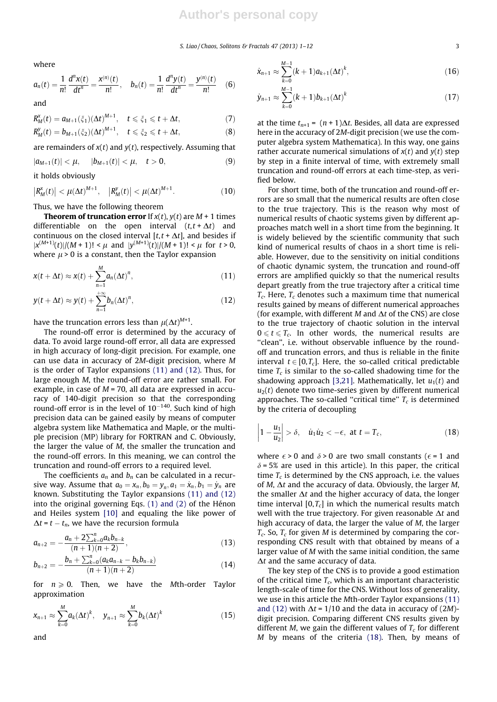S. Liao/Chaos, Solitons & Fractals 47 (2013) 1-12 3

where

$$
a_n(t) = \frac{1}{n!} \frac{d^n x(t)}{dt^n} = \frac{x^{(n)}(t)}{n!}, \quad b_n(t) = \frac{1}{n!} \frac{d^n y(t)}{dt^n} = \frac{y^{(n)}(t)}{n!} \quad (6)
$$

and

$$
R_M^x(t) = a_{M+1}(\xi_1)(\Delta t)^{M+1}, \quad t \le \xi_1 \le t + \Delta t,
$$
 (7)

$$
R_M^y(t) = b_{M+1}(\xi_2)(\Delta t)^{M+1}, \quad t \le \xi_2 \le t + \Delta t,
$$
 (8)

are remainders of  $x(t)$  and  $y(t)$ , respectively. Assuming that

$$
|a_{M+1}(t)| < \mu, \quad |b_{M+1}(t)| < \mu, \quad t > 0,
$$
 (9)

it holds obviously

$$
|R_M^x(t)| < \mu(\Delta t)^{M+1}, \quad |R_M^y(t)| < \mu(\Delta t)^{M+1}.
$$
 (10)

Thus, we have the following theorem

**Theorem of truncation error** If  $x(t)$ ,  $y(t)$  are  $M + 1$  times differentiable on the open interval  $(t, t + \Delta t)$  and continuous on the closed interval  $[t, t + \Delta t]$ , and besides if  $|x^{(M+1)}(t)|/(M+1)! < \mu$  and  $|y^{(M+1)}(t)|/(M+1)! < \mu$  for  $t > 0$ , where  $\mu$  > 0 is a constant, then the Taylor expansion

$$
x(t + \Delta t) \approx x(t) + \sum_{n=1}^{M} a_n (\Delta t)^n,
$$
\n(11)

$$
y(t + \Delta t) \approx y(t) + \sum_{n=1}^{+\infty} b_n (\Delta t)^n,
$$
\n(12)

have the truncation errors less than  $\mu(\Delta t)^{M+1}.$ 

The round-off error is determined by the accuracy of data. To avoid large round-off error, all data are expressed in high accuracy of long-digit precision. For example, one can use data in accuracy of 2M-digit precision, where M is the order of Taylor expansions (11) and (12). Thus, for large enough M, the round-off error are rather small. For example, in case of  $M = 70$ , all data are expressed in accuracy of 140-digit precision so that the corresponding round-off error is in the level of  $10^{-140}$ . Such kind of high precision data can be gained easily by means of computer algebra system like Mathematica and Maple, or the multiple precision (MP) library for FORTRAN and C. Obviously, the larger the value of M, the smaller the truncation and the round-off errors. In this meaning, we can control the truncation and round-off errors to a required level.

The coefficients  $a_n$  and  $b_n$  can be calculated in a recursive way. Assume that  $a_0 = x_n$ ,  $b_0 = y_n$ ,  $a_1 = \dot{x}_n$ ,  $b_1 = \dot{y}_n$  are known. Substituting the Taylor expansions (11) and (12) into the original governing Eqs. (1) and (2) of the Hénon and Heiles system [10] and equaling the like power of  $\Delta t = t - t_n$ , we have the recursion formula

$$
a_{n+2} = -\frac{a_n + 2\sum_{k=0}^n a_k b_{n-k}}{(n+1)(n+2)},
$$
\n(13)

$$
b_{n+2} = -\frac{b_n + \sum_{k=0}^n (a_k a_{n-k} - b_k b_{n-k})}{(n+1)(n+2)}
$$
(14)

for  $n \geq 0$ . Then, we have the Mth-order Taylor approximation

$$
x_{n+1} \approx \sum_{k=0}^{M} a_k (\Delta t)^k, \quad y_{n+1} \approx \sum_{k=0}^{M} b_k (\Delta t)^k
$$
 (15)

and

$$
\dot{x}_{n+1} \approx \sum_{k=0}^{M-1} (k+1) a_{k+1} (\Delta t)^k, \tag{16}
$$

$$
\dot{y}_{n+1} \approx \sum_{k=0}^{M-1} (k+1) b_{k+1} (\Delta t)^k \tag{17}
$$

at the time  $t_{n+1} = (n+1)\Delta t$ . Besides, all data are expressed here in the accuracy of 2M-digit precision (we use the computer algebra system Mathematica). In this way, one gains rather accurate numerical simulations of  $x(t)$  and  $y(t)$  step by step in a finite interval of time, with extremely small truncation and round-off errors at each time-step, as verified below.

For short time, both of the truncation and round-off errors are so small that the numerical results are often close to the true trajectory. This is the reason why most of numerical results of chaotic systems given by different approaches match well in a short time from the beginning. It is widely believed by the scientific community that such kind of numerical results of chaos in a short time is reliable. However, due to the sensitivity on initial conditions of chaotic dynamic system, the truncation and round-off errors are amplified quickly so that the numerical results depart greatly from the true trajectory after a critical time  $T_c$ . Here,  $T_c$  denotes such a maximum time that numerical results gained by means of different numerical approaches (for example, with different M and  $\Delta t$  of the CNS) are close to the true trajectory of chaotic solution in the interval  $0 \le t \le T_c$ . In other words, the numerical results are "clean", i.e. without observable influence by the roundoff and truncation errors, and thus is reliable in the finite interval  $t \in [0,T_c]$ . Here, the so-called critical predictable time  $T_c$  is similar to the so-called shadowing time for the shadowing approach [3,21]. Mathematically, let  $u_1(t)$  and  $u_2(t)$  denote two time-series given by different numerical approaches. The so-called "critical time"  $T_c$  is determined by the criteria of decoupling

$$
\left|1-\frac{u_1}{u_2}\right| > \delta, \quad \dot{u}_1\dot{u}_2 < -\epsilon, \text{ at } t = T_c,
$$
\n(18)

where  $\epsilon > 0$  and  $\delta > 0$  are two small constants ( $\epsilon = 1$  and  $\delta$  = 5% are used in this article). In this paper, the critical time  $T_c$  is determined by the CNS approach, i.e. the values of M,  $\Delta t$  and the accuracy of data. Obviously, the larger M, the smaller  $\Delta t$  and the higher accuracy of data, the longer time interval  $[0, T_c]$  in which the numerical results match well with the true trajectory. For given reasonable  $\Delta t$  and high accuracy of data, the larger the value of M, the larger  $T_c$ . So,  $T_c$  for given M is determined by comparing the corresponding CNS result with that obtained by means of a larger value of M with the same initial condition, the same  $\Delta t$  and the same accuracy of data.

The key step of the CNS is to provide a good estimation of the critical time  $T_c$ , which is an important characteristic length-scale of time for the CNS. Without loss of generality, we use in this article the Mth-order Taylor expansions (11) and (12) with  $\Delta t = 1/10$  and the data in accuracy of (2*M*)digit precision. Comparing different CNS results given by different M, we gain the different values of  $T_c$  for different M by means of the criteria (18). Then, by means of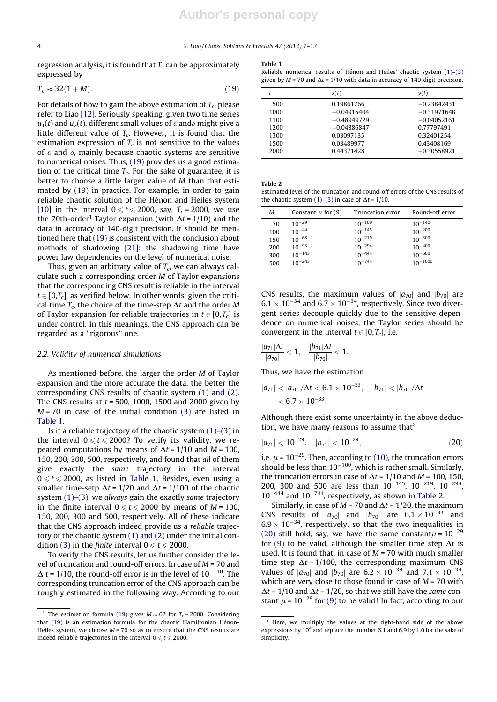regression analysis, it is found that  $T_c$  can be approximately expressed by

$$
T_c \approx 32(1+M). \tag{19}
$$

For details of how to gain the above estimation of  $T_c$ , please refer to Liao [12]. Seriously speaking, given two time series  $u_1(t)$  and  $u_2(t)$ , different small values of  $\epsilon$  and $\delta$  might give a little different value of  $T_c$ . However, it is found that the estimation expression of  $T_c$  is not sensitive to the values of  $\epsilon$  and  $\delta$ , mainly because chaotic systems are sensitive to numerical noises. Thus, (19) provides us a good estimation of the critical time  $T_c$ . For the sake of guarantee, it is better to choose a little larger value of M than that estimated by (19) in practice. For example, in order to gain reliable chaotic solution of the Hénon and Heiles system [10] in the interval  $0 \le t \le 2000$ , say,  $T_c = 2000$ , we use the 70th-order<sup>1</sup> Taylor expansion (with  $\Delta t = 1/10$ ) and the data in accuracy of 140-digit precision. It should be mentioned here that (19) is consistent with the conclusion about methods of shadowing [21]: the shadowing time have power law dependencies on the level of numerical noise.

Thus, given an arbitrary value of  $T_c$ , we can always calculate such a corresponding order M of Taylor expansions that the corresponding CNS result is reliable in the interval  $t \in [0,T_c]$ , as verified below. In other words, given the critical time  $T_c$ , the choice of the time-step  $\Delta t$  and the order M of Taylor expansion for reliable trajectories in  $t \in [0,T_c]$  is under control. In this meanings, the CNS approach can be regarded as a ''rigorous'' one.

#### 2.2. Validity of numerical simulations

As mentioned before, the larger the order M of Taylor expansion and the more accurate the data, the better the corresponding CNS results of chaotic system (1) and (2). The CNS results at  $t = 500$ , 1000, 1500 and 2000 given by  $M = 70$  in case of the initial condition (3) are listed in Table 1.

Is it a reliable trajectory of the chaotic system (1)–(3) in the interval  $0 \le t \le 2000$ ? To verify its validity, we repeated computations by means of  $\Delta t = 1/10$  and  $M = 100$ , 150, 200, 300, 500, respectively, and found that all of them give exactly the same trajectory in the interval  $0 \le t \le 2000$ , as listed in Table 1. Besides, even using a smaller time-setp  $\Delta t = 1/20$  and  $\Delta t = 1/100$  of the chaotic system  $(1)$ – $(3)$ , we always gain the exactly same trajectory in the finite interval  $0 \le t \le 2000$  by means of  $M = 100$ , 150, 200, 300 and 500, respectively. All of these indicate that the CNS approach indeed provide us a reliable trajectory of the chaotic system (1) and (2) under the initial condition (3) in the *finite* interval  $0 \le t \le 2000$ .

To verify the CNS results, let us further consider the level of truncation and round-off errors. In case of  $M = 70$  and  $\Delta$  t = 1/10, the round-off error is in the level of 10<sup>-140</sup>. The corresponding truncation error of the CNS approach can be roughly estimated in the following way. According to our

#### Table 1

Reliable numerical results of Hénon and Heiles' chaotic system (1)–(3) given by  $M = 70$  and  $\Delta t = 1/10$  with data in accuracy of 140-digit precision.

|      | x(t)          | y(t)          |
|------|---------------|---------------|
| 500  | 0.19861766    | $-0.23842431$ |
| 1000 | $-0.04915404$ | $-0.31971648$ |
| 1100 | $-0.48949729$ | $-0.04052161$ |
| 1200 | $-0.04886847$ | 0.77797491    |
| 1300 | 0.03097135    | 0.32401254    |
| 1500 | 0.03489977    | 0.43408169    |
| 2000 | 0.44371428    | $-0.30558921$ |

Table 2

Estimated level of the truncation and round-off errors of the CNS results of the chaotic system (1)–(3) in case of  $\Delta t = 1/10$ .

| М   | Constant $\mu$ for (9) | Truncation error | Round-off error |
|-----|------------------------|------------------|-----------------|
| 70  | $10^{-29}$             | $10^{-100}$      | $10^{-140}$     |
| 100 | $10^{-44}$             | $10^{-145}$      | $10^{-200}$     |
| 150 | $10^{-68}$             | $10^{-219}$      | $10^{-300}$     |
| 200 | $10^{-93}$             | $10^{-294}$      | $10^{-400}$     |
| 300 | $10^{-143}$            | $10^{-444}$      | $10^{-600}$     |
| 500 | $10^{-243}$            | $10^{-744}$      | $10^{-1000}$    |

CNS results, the maximum values of  $|a_{70}|$  and  $|b_{70}|$  are  $6.1 \times 10^{-34}$  and  $6.7 \times 10^{-34}$ , respectively. Since two divergent series decouple quickly due to the sensitive dependence on numerical noises, the Taylor series should be convergent in the interval  $t \in [0, T_c]$ , i.e.

$$
\frac{|a_{71}|\Delta t}{|a_{70}|}<1, \quad \frac{|b_{71}|\Delta t}{|b_{70}|}<1.
$$

Thus, we have the estimation

$$
|a_{71}| < |a_{70}|/\Delta t < 6.1 \times 10^{-33}, \quad |b_{71}| < |b_{70}|/\Delta t < 6.7 \times 10^{-33}.
$$

Although there exist some uncertainty in the above deduction, we have many reasons to assume that $2$ 

$$
|a_{71}|<10^{-29}, \quad |b_{71}|<10^{-29}, \tag{20}
$$

i.e.  $\mu$  = 10<sup>-29</sup>. Then, according to (10), the truncation errors should be less than  $10^{-100}$ , which is rather small. Similarly, the truncation errors in case of  $\Delta t = 1/10$  and  $M = 100$ , 150, 200, 300 and 500 are less than  $10^{-145}$ ,  $10^{-219}$ ,  $10^{-294}$ ,  $10^{-444}$  and  $10^{-744}$ , respectively, as shown in Table 2.

Similarly, in case of  $M = 70$  and  $\Delta t = 1/20$ , the maximum CNS results of  $|a_{70}|$  and  $|b_{70}|$  are  $6.1 \times 10^{-34}$  and  $6.9 \times 10^{-34}$ , respectively, so that the two inequalities in (20) still hold, say, we have the same constant $\mu$  = 10<sup>-29</sup> for (9) to be valid, although the smaller time step  $\Delta t$  is used. It is found that, in case of  $M = 70$  with much smaller time-step  $\Delta t = 1/100$ , the corresponding maximum CNS values of  $|a_{70}|$  and  $|b_{70}|$  are  $6.2 \times 10^{-34}$  and  $7.1 \times 10^{-34}$ , which are very close to those found in case of  $M = 70$  with  $\Delta t = 1/10$  and  $\Delta t = 1/20$ , so that we still have the same constant  $\mu$  = 10<sup>-29</sup> for (9) to be valid! In fact, according to our

<sup>&</sup>lt;sup>1</sup> The estimation formula (19) gives  $M \approx 62$  for  $T_c = 2000$ . Considering that (19) is an estimation formula for the chaotic Hamiltonian Hénon-Heiles system, we choose  $M = 70$  so as to ensure that the CNS results are indeed reliable trajectories in the interval  $0 \le t \le 2000$ .

 $2$  Here, we multiply the values at the right-hand side of the above expressions by  $10^4$  and replace the number 6.1 and 6.9 by 1.0 for the sake of simplicity.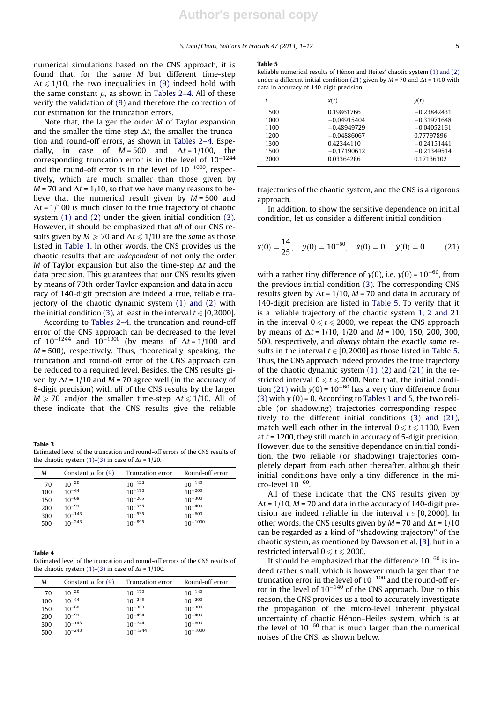numerical simulations based on the CNS approach, it is found that, for the same M but different time-step  $\Delta t \leq 1/10$ , the two inequalities in (9) indeed hold with the same constant  $\mu$ , as shown in Tables 2–4. All of these verify the validation of (9) and therefore the correction of our estimation for the truncation errors.

Note that, the larger the order M of Taylor expansion and the smaller the time-step  $\Delta t$ , the smaller the truncation and round-off errors, as shown in Tables 2–4. Especially, in case of  $M = 500$  and  $\Delta t = 1/100$ , the corresponding truncation error is in the level of  $10^{-1244}$ and the round-off error is in the level of  $10^{-1000}$ , respectively, which are much smaller than those given by  $M = 70$  and  $\Delta t = 1/10$ , so that we have many reasons to believe that the numerical result given by  $M = 500$  and  $\Delta t$  = 1/100 is much closer to the true trajectory of chaotic system (1) and (2) under the given initial condition (3). However, it should be emphasized that all of our CNS results given by  $M \ge 70$  and  $\Delta t \le 1/10$  are the same as those listed in Table 1. In other words, the CNS provides us the chaotic results that are independent of not only the order M of Taylor expansion but also the time-step  $\Delta t$  and the data precision. This guarantees that our CNS results given by means of 70th-order Taylor expansion and data in accuracy of 140-digit precision are indeed a true, reliable trajectory of the chaotic dynamic system (1) and (2) with the initial condition (3), at least in the interval  $t \in [0,2000]$ .

According to Tables 2–4, the truncation and round-off error of the CNS approach can be decreased to the level of  $10^{-1244}$  and  $10^{-1000}$  (by means of  $\Delta t = 1/100$  and  $M = 500$ ), respectively. Thus, theoretically speaking, the truncation and round-off error of the CNS approach can be reduced to a required level. Besides, the CNS results given by  $\Delta t = 1/10$  and  $M = 70$  agree well (in the accuracy of 8-digit precision) with all of the CNS results by the larger  $M \ge 70$  and/or the smaller time-step  $\Delta t \le 1/10$ . All of these indicate that the CNS results give the reliable

Table 3

Estimated level of the truncation and round-off errors of the CNS results of the chaotic system  $(1)$ – $(3)$  in case of  $\Delta t$  = 1/20.

| м   | Constant $\mu$ for (9) | Truncation error | Round-off error |
|-----|------------------------|------------------|-----------------|
| 70  | $10^{-29}$             | $10^{-122}$      | $10^{-140}$     |
| 100 | $10^{-44}$             | $10^{-176}$      | $10^{-200}$     |
| 150 | $10^{-68}$             | $10^{-265}$      | $10^{-300}$     |
| 200 | $10^{-93}$             | $10^{-355}$      | $10^{-400}$     |
| 300 | $10^{-143}$            | $10^{-535}$      | $10^{-600}$     |
| 500 | $10^{-243}$            | $10^{-895}$      | $10^{-1000}$    |
|     |                        |                  |                 |

#### Table 4

Estimated level of the truncation and round-off errors of the CNS results of the chaotic system  $(1)$ – $(3)$  in case of  $\Delta t = 1/100$ .

| м   | Constant $\mu$ for (9) | Truncation error | Round-off error |
|-----|------------------------|------------------|-----------------|
| 70  | $10^{-29}$             | $10^{-170}$      | $10^{-140}$     |
| 100 | $10^{-44}$             | $10^{-245}$      | $10^{-200}$     |
| 150 | $10^{-68}$             | $10^{-369}$      | $10^{-300}$     |
| 200 | $10^{-93}$             | $10^{-494}$      | $10^{-400}$     |
| 300 | $10^{-143}$            | $10^{-744}$      | $10^{-600}$     |
| 500 | $10^{-243}$            | $10^{-1244}$     | $10^{-1000}$    |

#### Table 5

Reliable numerical results of Hénon and Heiles' chaotic system (1) and (2) under a different initial condition (21) given by  $M = 70$  and  $\Delta t = 1/10$  with data in accuracy of 140-digit precision.

|      |      | x(t)          | y(t)          |
|------|------|---------------|---------------|
|      | 500  | 0.19861766    | $-0.23842431$ |
|      | 1000 | $-0.04915404$ | $-0.31971648$ |
|      | 1100 | $-0.48949729$ | $-0.04052161$ |
|      | 1200 | $-0.04886067$ | 0.77797896    |
|      | 1300 | 0.42344110    | $-0.24151441$ |
|      | 1500 | $-0.17190612$ | $-0.21349514$ |
| 2000 |      | 0.03364286    | 0.17136302    |
|      |      |               |               |

trajectories of the chaotic system, and the CNS is a rigorous approach.

In addition, to show the sensitive dependence on initial condition, let us consider a different initial condition

$$
x(0) = \frac{14}{25}, \quad y(0) = 10^{-60}, \quad \dot{x}(0) = 0, \quad \dot{y}(0) = 0 \tag{21}
$$

with a rather tiny difference of  $y(0)$ , i.e.  $y(0) = 10^{-60}$ , from the previous initial condition (3). The corresponding CNS results given by  $\Delta t = 1/10$ ,  $M = 70$  and data in accuracy of 140-digit precision are listed in Table 5. To verify that it is a reliable trajectory of the chaotic system 1, 2 and 21 in the interval  $0 \le t \le 2000$ , we repeat the CNS approach by means of  $\Delta t = 1/10$ , 1/20 and  $M = 100$ , 150, 200, 300, 500, respectively, and always obtain the exactly same results in the interval  $t \in [0,2000]$  as those listed in Table 5. Thus, the CNS approach indeed provides the true trajectory of the chaotic dynamic system (1), (2) and (21) in the restricted interval  $0 \le t \le 2000$ . Note that, the initial condition (21) with  $y(0) = 10^{-60}$  has a very tiny difference from (3) with  $y(0) = 0$ . According to Tables 1 and 5, the two reliable (or shadowing) trajectories corresponding respectively to the different initial conditions (3) and (21), match well each other in the interval  $0 \le t \le 1100$ . Even at  $t = 1200$ , they still match in accuracy of 5-digit precision. However, due to the sensitive dependance on initial condition, the two reliable (or shadowing) trajectories completely depart from each other thereafter, although their initial conditions have only a tiny difference in the micro-level  $10^{-60}$ .

All of these indicate that the CNS results given by  $\Delta t$  = 1/10, M = 70 and data in the accuracy of 140-digit precision are indeed reliable in the interval  $t \in [0,2000]$ . In other words, the CNS results given by  $M = 70$  and  $\Delta t = 1/10$ can be regarded as a kind of ''shadowing trajectory'' of the chaotic system, as mentioned by Dawson et al. [3], but in a restricted interval  $0 \le t \le 2000$ .

It should be emphasized that the difference  $10^{-60}$  is indeed rather small, which is however much larger than the truncation error in the level of  $10^{-100}$  and the round-off error in the level of  $10^{-140}$  of the CNS approach. Due to this reason, the CNS provides us a tool to accurately investigate the propagation of the micro-level inherent physical uncertainty of chaotic Hénon–Heiles system, which is at the level of  $10^{-60}$  that is much larger than the numerical noises of the CNS, as shown below.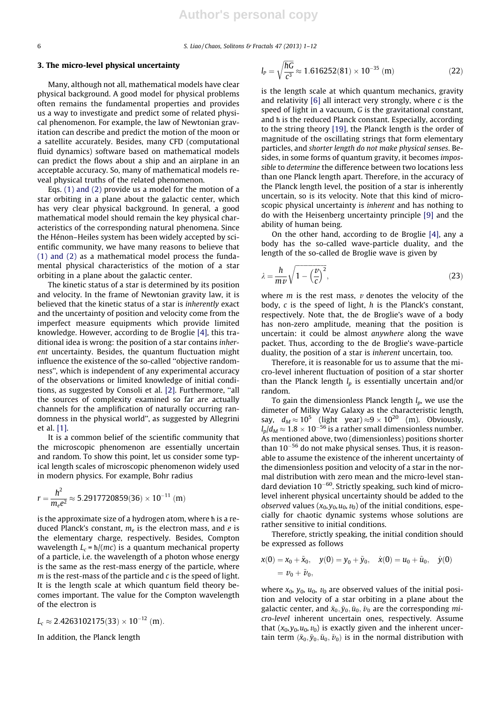6 S. Liao / Chaos, Solitons & Fractals 47 (2013) 1–12

## 3. The micro-level physical uncertainty

Many, although not all, mathematical models have clear physical background. A good model for physical problems often remains the fundamental properties and provides us a way to investigate and predict some of related physical phenomenon. For example, the law of Newtonian gravitation can describe and predict the motion of the moon or a satellite accurately. Besides, many CFD (computational fluid dynamics) software based on mathematical models can predict the flows about a ship and an airplane in an acceptable accuracy. So, many of mathematical models reveal physical truths of the related phenomenon.

Eqs. (1) and (2) provide us a model for the motion of a star orbiting in a plane about the galactic center, which has very clear physical background. In general, a good mathematical model should remain the key physical characteristics of the corresponding natural phenomena. Since the Hénon–Heiles system has been widely accepted by scientific community, we have many reasons to believe that (1) and (2) as a mathematical model process the fundamental physical characteristics of the motion of a star orbiting in a plane about the galactic center.

The kinetic status of a star is determined by its position and velocity. In the frame of Newtonian gravity law, it is believed that the kinetic status of a star is inherently exact and the uncertainty of position and velocity come from the imperfect measure equipments which provide limited knowledge. However, according to de Broglie [4], this traditional idea is wrong: the position of a star contains inherent uncertainty. Besides, the quantum fluctuation might influence the existence of the so-called ''objective randomness'', which is independent of any experimental accuracy of the observations or limited knowledge of initial conditions, as suggested by Consoli et al. [2]. Furthermore, ''all the sources of complexity examined so far are actually channels for the amplification of naturally occurring randomness in the physical world'', as suggested by Allegrini et al. [1].

It is a common belief of the scientific community that the microscopic phenomenon are essentially uncertain and random. To show this point, let us consider some typical length scales of microscopic phenomenon widely used in modern physics. For example, Bohr radius

$$
r = \frac{h^2}{m_e e^2} \approx 5.2917720859(36) \times 10^{-11} \text{ (m)}
$$

is the approximate size of a hydrogen atom, where h is a reduced Planck's constant,  $m_e$  is the electron mass, and e is the elementary charge, respectively. Besides, Compton wavelength  $L_c = \hbar/(mc)$  is a quantum mechanical property of a particle, i.e. the wavelength of a photon whose energy is the same as the rest-mass energy of the particle, where  $m$  is the rest-mass of the particle and  $c$  is the speed of light. It is the length scale at which quantum field theory becomes important. The value for the Compton wavelength of the electron is

$$
L_c \approx 2.4263102175(33) \times 10^{-12} \text{ (m)}.
$$

In addition, the Planck length

$$
l_P = \sqrt{\frac{\hbar G}{c^3}} \approx 1.616252(81) \times 10^{-35} \text{ (m)}\tag{22}
$$

is the length scale at which quantum mechanics, gravity and relativity  $[6]$  all interact very strongly, where c is the speed of light in a vacuum, G is the gravitational constant, and  $\hbar$  is the reduced Planck constant. Especially, according to the string theory [19], the Planck length is the order of magnitude of the oscillating strings that form elementary particles, and shorter length do not make physical senses. Besides, in some forms of quantum gravity, it becomes impossible to determine the difference between two locations less than one Planck length apart. Therefore, in the accuracy of the Planck length level, the position of a star is inherently uncertain, so is its velocity. Note that this kind of microscopic physical uncertainty is inherent and has nothing to do with the Heisenberg uncertainty principle [9] and the ability of human being.

On the other hand, according to de Broglie [4], any a body has the so-called wave-particle duality, and the length of the so-called de Broglie wave is given by

$$
\lambda = \frac{h}{mv} \sqrt{1 - \left(\frac{v}{c}\right)^2},\tag{23}
$$

where  $m$  is the rest mass,  $\nu$  denotes the velocity of the body,  $c$  is the speed of light,  $h$  is the Planck's constant, respectively. Note that, the de Broglie's wave of a body has non-zero amplitude, meaning that the position is uncertain: it could be almost anywhere along the wave packet. Thus, according to the de Broglie's wave-particle duality, the position of a star is inherent uncertain, too.

Therefore, it is reasonable for us to assume that the micro-level inherent fluctuation of position of a star shorter than the Planck length  $l_p$  is essentially uncertain and/or random.

To gain the dimensionless Planck length  $l_p$ , we use the dimeter of Milky Way Galaxy as the characteristic length, say,  $d_M \approx 10^5$  (light year)  $\approx 9 \times 10^{20}$  (m). Obviously,  $l_p/d_M$   $\approx$  1.8  $\times$  10<sup>–56</sup> is a rather small dimensionless number. As mentioned above, two (dimensionless) positions shorter than 10<sup>-56</sup> do not make physical senses. Thus, it is reasonable to assume the existence of the inherent uncertainty of the dimensionless position and velocity of a star in the normal distribution with zero mean and the micro-level standard deviation 10<sup>-60</sup>. Strictly speaking, such kind of microlevel inherent physical uncertainty should be added to the observed values  $(x_0, y_0, u_0, v_0)$  of the initial conditions, especially for chaotic dynamic systems whose solutions are rather sensitive to initial conditions.

Therefore, strictly speaking, the initial condition should be expressed as follows

$$
x(0) = x_0 + \tilde{x}_0, \quad y(0) = y_0 + \tilde{y}_0, \quad \dot{x}(0) = u_0 + \tilde{u}_0, \quad \dot{y}(0) = v_0 + \tilde{v}_0,
$$

where  $x_0$ ,  $y_0$ ,  $u_0$ ,  $v_0$  are observed values of the initial position and velocity of a star orbiting in a plane about the galactic center, and  $\tilde{x}_0, \tilde{y}_0, \tilde{u}_0, \tilde{\nu}_0$  are the corresponding micro-level inherent uncertain ones, respectively. Assume that  $(x_0, y_0, u_0, v_0)$  is exactly given and the inherent uncertain term  $(\tilde{x}_0, \tilde{y}_0, \tilde{u}_0, \tilde{v}_0)$  is in the normal distribution with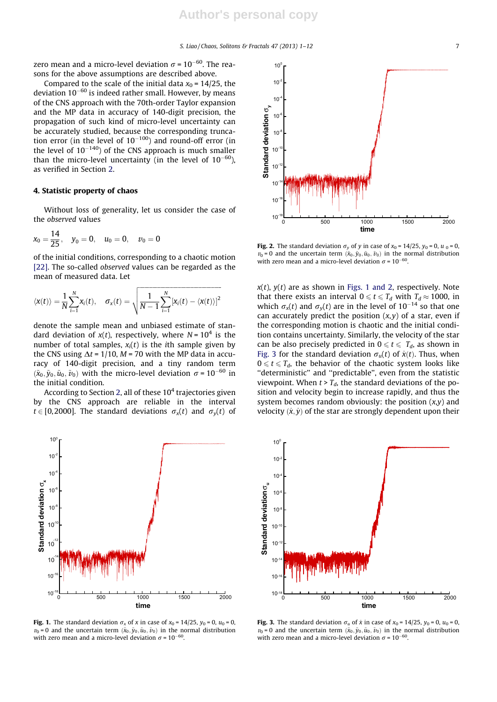zero mean and a micro-level deviation  $\sigma$  = 10<sup>–60</sup>. The reasons for the above assumptions are described above.

Compared to the scale of the initial data  $x_0 = 14/25$ , the deviation 10<sup>–60</sup> is indeed rather small. However, by means of the CNS approach with the 70th-order Taylor expansion and the MP data in accuracy of 140-digit precision, the propagation of such kind of micro-level uncertainty can be accurately studied, because the corresponding truncation error (in the level of  $10^{-100}$ ) and round-off error (in the level of  $10^{-140}$ ) of the CNS approach is much smaller than the micro-level uncertainty (in the level of  $10^{-60}$ ), as verified in Section 2.

### 4. Statistic property of chaos

Without loss of generality, let us consider the case of the observed values

$$
x_0 = \frac{14}{25}
$$
,  $y_0 = 0$ ,  $u_0 = 0$ ,  $v_0 = 0$ 

of the initial conditions, corresponding to a chaotic motion [22]. The so-called *observed* values can be regarded as the mean of measured data. Let

$$
\langle x(t) \rangle = \frac{1}{N} \sum_{i=1}^{N} x_i(t), \quad \sigma_x(t) = \sqrt{\frac{1}{N-1} \sum_{i=1}^{N} [x_i(t) - \langle x(t) \rangle]^2}
$$

denote the sample mean and unbiased estimate of standard deviation of  $x(t)$ , respectively, where  $N = 10<sup>4</sup>$  is the number of total samples,  $x_i(t)$  is the *i*th sample given by the CNS using  $\Delta t = 1/10$ ,  $M = 70$  with the MP data in accuracy of 140-digit precision, and a tiny random term  $(\tilde{x}_0, \tilde{y}_0, \tilde{u}_0, \tilde{v}_0)$  with the micro-level deviation  $\sigma = 10^{-60}$  in the initial condition.

According to Section 2, all of these  $10<sup>4</sup>$  trajectories given by the CNS approach are reliable in the interval  $t \in [0,2000]$ . The standard deviations  $\sigma_x(t)$  and  $\sigma_y(t)$  of



**Fig. 1.** The standard deviation  $\sigma_x$  of x in case of  $x_0 = 14/25$ ,  $y_0 = 0$ ,  $u_0 = 0$ ,  $v_0 = 0$  and the uncertain term  $(\tilde{x}_0, \tilde{y}_0, \tilde{u}_0, \tilde{v}_0)$  in the normal distribution with zero mean and a micro-level deviation  $\sigma$  = 10<sup>-60</sup>.



Fig. 2. The standard deviation  $\sigma_v$  of y in case of  $x_0 = 14/25$ ,  $y_0 = 0$ ,  $u_0 = 0$ ,  $v_0 = 0$  and the uncertain term  $(\tilde{x}_0, \tilde{y}_0, \tilde{u}_0, \tilde{v}_0)$  in the normal distribution with zero mean and a micro-level deviation  $\sigma = 10^{-60}$ .

 $x(t)$ ,  $y(t)$  are as shown in Figs. 1 and 2, respectively. Note that there exists an interval  $0 \le t \le T_d$  with  $T_d \approx 1000$ , in which  $\sigma_x(t)$  and  $\sigma_y(t)$  are in the level of 10<sup>-14</sup> so that one can accurately predict the position  $(x, y)$  of a star, even if the corresponding motion is chaotic and the initial condition contains uncertainty. Similarly, the velocity of the star can be also precisely predicted in  $0 \le t \le T_d$ , as shown in Fig. 3 for the standard deviation  $\sigma_u(t)$  of  $\dot{x}(t)$ . Thus, when  $0 \le t \le T_d$ , the behavior of the chaotic system looks like "deterministic" and "predictable", even from the statistic viewpoint. When  $t > T_d$ , the standard deviations of the position and velocity begin to increase rapidly, and thus the system becomes random obviously: the position  $(x,y)$  and velocity  $(\dot{x}, \dot{y})$  of the star are strongly dependent upon their



Fig. 3. The standard deviation  $\sigma_u$  of x in case of  $x_0 = 14/25$ ,  $y_0 = 0$ ,  $u_0 = 0$ ,  $v_0 = 0$  and the uncertain term  $(\tilde{x}_0, \tilde{y}_0, \tilde{u}_0, \tilde{v}_0)$  in the normal distribution with zero mean and a micro-level deviation  $\sigma = 10^{-60}$ .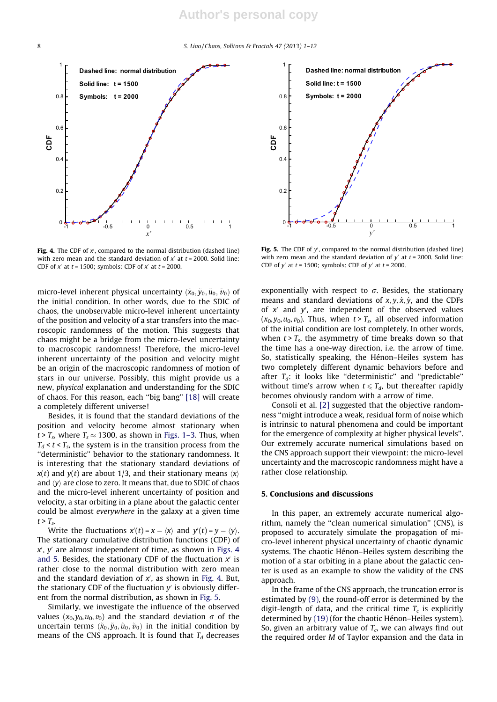

Fig. 4. The CDF of  $x'$ , compared to the normal distribution (dashed line) with zero mean and the standard deviation of  $x<sup>'</sup>$  at  $t = 2000$ . Solid line: CDF of  $x'$  at  $t = 1500$ ; symbols: CDF of  $x'$  at  $t = 2000$ .

micro-level inherent physical uncertainty  $(\tilde{x}_0, \tilde{y}_0, \tilde{u}_0, \tilde{v}_0)$  of the initial condition. In other words, due to the SDIC of chaos, the unobservable micro-level inherent uncertainty of the position and velocity of a star transfers into the macroscopic randomness of the motion. This suggests that chaos might be a bridge from the micro-level uncertainty to macroscopic randomness! Therefore, the micro-level inherent uncertainty of the position and velocity might be an origin of the macroscopic randomness of motion of stars in our universe. Possibly, this might provide us a new, physical explanation and understanding for the SDIC of chaos. For this reason, each ''big bang'' [18] will create a completely different universe!

Besides, it is found that the standard deviations of the position and velocity become almost stationary when  $t > T_s$ , where  $T_s \approx 1300$ , as shown in Figs. 1–3. Thus, when  $T_d < t < T_s$ , the system is in the transition process from the ''deterministic'' behavior to the stationary randomness. It is interesting that the stationary standard deviations of  $x(t)$  and  $y(t)$  are about 1/3, and their stationary means  $\langle x \rangle$ and  $\langle y \rangle$  are close to zero. It means that, due to SDIC of chaos and the micro-level inherent uncertainty of position and velocity, a star orbiting in a plane about the galactic center could be almost everywhere in the galaxy at a given time  $t > T_s$ .

Write the fluctuations  $x'(t) = x - \langle x \rangle$  and  $y'(t) = y - \langle y \rangle$ . The stationary cumulative distribution functions (CDF) of  $x'$ ,  $y'$  are almost independent of time, as shown in Figs. 4 and 5. Besides, the stationary CDF of the fluctuation  $x'$  is rather close to the normal distribution with zero mean and the standard deviation of  $x'$ , as shown in Fig. 4. But, the stationary CDF of the fluctuation  $y'$  is obviously different from the normal distribution, as shown in Fig. 5.

Similarly, we investigate the influence of the observed values  $(x_0, y_0, u_0, v_0)$  and the standard deviation  $\sigma$  of the uncertain terms  $(\tilde{x}_0, \tilde{y}_0, \tilde{u}_0, \tilde{\nu}_0)$  in the initial condition by means of the CNS approach. It is found that  $T_d$  decreases



Fig. 5. The CDF of  $y'$ , compared to the normal distribution (dashed line) with zero mean and the standard deviation of  $y'$  at  $t = 2000$ . Solid line: CDF of  $y'$  at  $t = 1500$ ; symbols: CDF of  $y'$  at  $t = 2000$ .

exponentially with respect to  $\sigma$ . Besides, the stationary means and standard deviations of  $x, y, \dot{x}, \dot{y}$ , and the CDFs of  $x'$  and  $y'$ , are independent of the observed values  $(x_0, y_0, u_0, v_0)$ . Thus, when  $t > T_s$ , all observed information of the initial condition are lost completely. In other words, when  $t > T_s$ , the asymmetry of time breaks down so that the time has a one-way direction, i.e. the arrow of time. So, statistically speaking, the Hénon–Heiles system has two completely different dynamic behaviors before and after  $T_d$ : it looks like "deterministic" and "predictable" without time's arrow when  $t \leq T_d$ , but thereafter rapidly becomes obviously random with a arrow of time.

Consoli et al. [2] suggested that the objective randomness ''might introduce a weak, residual form of noise which is intrinsic to natural phenomena and could be important for the emergence of complexity at higher physical levels''. Our extremely accurate numerical simulations based on the CNS approach support their viewpoint: the micro-level uncertainty and the macroscopic randomness might have a rather close relationship.

## 5. Conclusions and discussions

In this paper, an extremely accurate numerical algorithm, namely the ''clean numerical simulation'' (CNS), is proposed to accurately simulate the propagation of micro-level inherent physical uncertainty of chaotic dynamic systems. The chaotic Hénon–Heiles system describing the motion of a star orbiting in a plane about the galactic center is used as an example to show the validity of the CNS approach.

In the frame of the CNS approach, the truncation error is estimated by (9), the round-off error is determined by the digit-length of data, and the critical time  $T_c$  is explicitly determined by (19) (for the chaotic Hénon–Heiles system). So, given an arbitrary value of  $T_c$ , we can always find out the required order M of Taylor expansion and the data in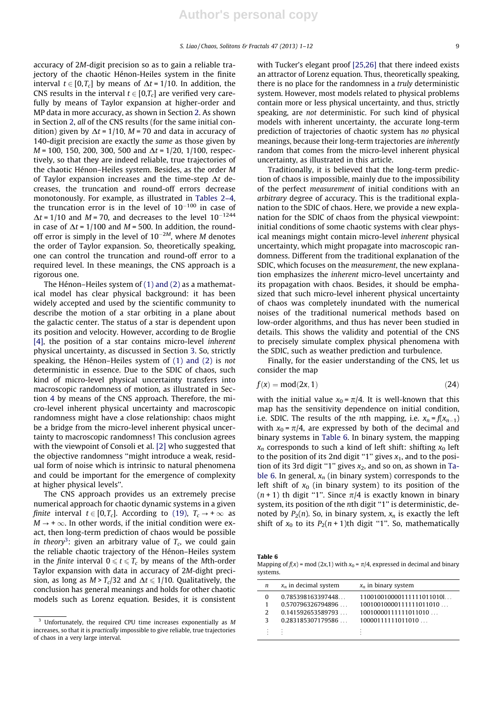accuracy of 2M-digit precision so as to gain a reliable trajectory of the chaotic Hénon-Heiles system in the finite interval  $t \in [0,T_c]$  by means of  $\Delta t = 1/10$ . In addition, the CNS results in the interval  $t \in [0,T_c]$  are verified very carefully by means of Taylor expansion at higher-order and MP data in more accuracy, as shown in Section 2. As shown in Section 2, all of the CNS results (for the same initial condition) given by  $\Delta t = 1/10$ ,  $M = 70$  and data in accuracy of 140-digit precision are exactly the same as those given by  $M = 100$ , 150, 200, 300, 500 and  $\Delta t = 1/20$ , 1/100, respectively, so that they are indeed reliable, true trajectories of the chaotic Hénon–Heiles system. Besides, as the order M of Taylor expansion increases and the time-step  $\Delta t$  decreases, the truncation and round-off errors decrease monotonously. For example, as illustrated in Tables 2–4, the truncation error is in the level of  $10^{-100}$  in case of  $\Delta t = 1/10$  and  $M = 70$ , and decreases to the level  $10^{-1244}$ in case of  $\Delta t = 1/100$  and  $M = 500$ . In addition, the roundoff error is simply in the level of  $10^{-2M}$ , where M denotes the order of Taylor expansion. So, theoretically speaking, one can control the truncation and round-off error to a required level. In these meanings, the CNS approach is a rigorous one.

The Hénon–Heiles system of (1) and (2) as a mathematical model has clear physical background: it has been widely accepted and used by the scientific community to describe the motion of a star orbiting in a plane about the galactic center. The status of a star is dependent upon its position and velocity. However, according to de Broglie [4], the position of a star contains micro-level inherent physical uncertainty, as discussed in Section 3. So, strictly speaking, the Hénon–Heiles system of (1) and (2) is not deterministic in essence. Due to the SDIC of chaos, such kind of micro-level physical uncertainty transfers into macroscopic randomness of motion, as illustrated in Section 4 by means of the CNS approach. Therefore, the micro-level inherent physical uncertainty and macroscopic randomness might have a close relationship: chaos might be a bridge from the micro-level inherent physical uncertainty to macroscopic randomness! This conclusion agrees with the viewpoint of Consoli et al. [2] who suggested that the objective randomness ''might introduce a weak, residual form of noise which is intrinsic to natural phenomena and could be important for the emergence of complexity at higher physical levels''.

The CNS approach provides us an extremely precise numerical approach for chaotic dynamic systems in a given finite interval  $t \in [0,T_c]$ . According to (19),  $T_c \rightarrow +\infty$  as  $M \rightarrow +\infty$ . In other words, if the initial condition were exact, then long-term prediction of chaos would be possible *in theory*<sup>3</sup>: given an arbitrary value of  $T_c$ , we could gain the reliable chaotic trajectory of the Hénon–Heiles system in the *finite* interval  $0 \le t \le T_c$  by means of the *Mth*-order Taylor expansion with data in accuracy of 2M-dight precision, as long as  $M > T_c/32$  and  $\Delta t \leq 1/10$ . Qualitatively, the conclusion has general meanings and holds for other chaotic models such as Lorenz equation. Besides, it is consistent with Tucker's elegant proof [25,26] that there indeed exists an attractor of Lorenz equation. Thus, theoretically speaking, there is no place for the randomness in a truly deterministic system. However, most models related to physical problems contain more or less physical uncertainty, and thus, strictly speaking, are not deterministic. For such kind of physical models with inherent uncertainty, the accurate long-term prediction of trajectories of chaotic system has no physical meanings, because their long-term trajectories are inherently random that comes from the micro-level inherent physical uncertainty, as illustrated in this article.

Traditionally, it is believed that the long-term prediction of chaos is impossible, mainly due to the impossibility of the perfect measurement of initial conditions with an arbitrary degree of accuracy. This is the traditional explanation to the SDIC of chaos. Here, we provide a new explanation for the SDIC of chaos from the physical viewpoint: initial conditions of some chaotic systems with clear physical meanings might contain micro-level inherent physical uncertainty, which might propagate into macroscopic randomness. Different from the traditional explanation of the SDIC, which focuses on the measurement, the new explanation emphasizes the inherent micro-level uncertainty and its propagation with chaos. Besides, it should be emphasized that such micro-level inherent physical uncertainty of chaos was completely inundated with the numerical noises of the traditional numerical methods based on low-order algorithms, and thus has never been studied in details. This shows the validity and potential of the CNS to precisely simulate complex physical phenomena with the SDIC, such as weather prediction and turbulence.

Finally, for the easier understanding of the CNS, let us consider the map

$$
f(x) = mod(2x, 1) \tag{24}
$$

with the initial value  $x_0 = \pi/4$ . It is well-known that this map has the sensitivity dependence on initial condition, i.e. SDIC. The results of the nth mapping, i.e.  $x_n = f(x_{n-1})$ with  $x_0 = \pi/4$ , are expressed by both of the decimal and binary systems in Table 6. In binary system, the mapping  $x_n$  corresponds to such a kind of left shift: shifting  $x_0$  left to the position of its 2nd digit "1" gives  $x_1$ , and to the position of its 3rd digit "1" gives  $x_2$ , and so on, as shown in Table 6. In general,  $x_n$  (in binary system) corresponds to the left shift of  $x_0$  (in binary system) to its position of the  $(n + 1)$  th digit "1". Since  $\pi/4$  is exactly known in binary system, its position of the nth digit "1" is deterministic, denoted by  $P_2(n)$ . So, in binary system,  $x_n$  is exactly the left shift of  $x_0$  to its  $P_2(n + 1)$ th digit "1". So, mathematically

| Table 6                                                                             |  |
|-------------------------------------------------------------------------------------|--|
| Mapping of $f(x)$ = mod (2x,1) with $x_0 = \pi/4$ , expressed in decimal and binary |  |
| systems.                                                                            |  |

| n | $x_n$ in decimal system | $x_n$ in binary system    |
|---|-------------------------|---------------------------|
| 0 | 0.785398163397448       | 110010010000111111011010L |
|   | 0.570796326794896       | 10010010000111111011010   |
| 2 | 0.141592653589793       | 10010000111111011010      |
| 3 | 0.283185307179586       | 10000111111011010         |
|   |                         |                           |
|   |                         |                           |

<sup>&</sup>lt;sup>3</sup> Unfortunately, the required CPU time increases exponentially as M increases, so that it is practically impossible to give reliable, true trajectories of chaos in a very large interval.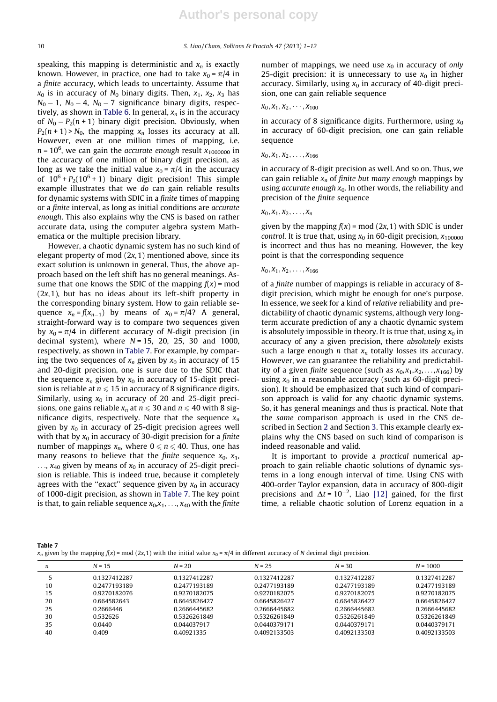speaking, this mapping is deterministic and  $x_n$  is exactly known. However, in practice, one had to take  $x_0 = \pi/4$  in a finite accuracy, which leads to uncertainty. Assume that  $x_0$  is in accuracy of  $N_0$  binary digits. Then,  $x_1$ ,  $x_2$ ,  $x_3$  has  $N_0-1$ ,  $N_0-4$ ,  $N_0-7$  significance binary digits, respectively, as shown in Table 6. In general,  $x_n$  is in the accuracy of  $N_0 - P_2(n + 1)$  binary digit precision. Obviously, when  $P_2(n + 1)$  >  $N_0$ , the mapping  $x_n$  losses its accuracy at all. However, even at one million times of mapping, i.e.  $n$  = 10<sup>6</sup>, we can gain the *accurate enough result x*<sub>1000000</sub> in the accuracy of one million of binary digit precision, as long as we take the initial value  $x_0 = \pi/4$  in the accuracy of  $10^6$  +  $P_2(10^6$  + 1) binary digit precision! This simple example illustrates that we do can gain reliable results for dynamic systems with SDIC in a finite times of mapping or a finite interval, as long as initial conditions are accurate enough. This also explains why the CNS is based on rather accurate data, using the computer algebra system Mathematica or the multiple precision library.

However, a chaotic dynamic system has no such kind of elegant property of mod  $(2x, 1)$  mentioned above, since its exact solution is unknown in general. Thus, the above approach based on the left shift has no general meanings. Assume that one knows the SDIC of the mapping  $f(x)$  = mod  $(2x, 1)$ , but has no ideas about its left-shift property in the corresponding binary system. How to gain reliable sequence  $x_n = f(x_{n-1})$  by means of  $x_0 = \pi/4$ ? A general, straight-forward way is to compare two sequences given by  $x_0 = \pi/4$  in different accuracy of N-digit precision (in decimal system), where  $N = 15$ , 20, 25, 30 and 1000, respectively, as shown in Table 7. For example, by comparing the two sequences of  $x_n$  given by  $x_0$  in accuracy of 15 and 20-digit precision, one is sure due to the SDIC that the sequence  $x_n$  given by  $x_0$  in accuracy of 15-digit precision is reliable at  $n \leq 15$  in accuracy of 8 significance digits. Similarly, using  $x_0$  in accuracy of 20 and 25-digit precisions, one gains reliable  $x_n$  at  $n \leq 30$  and  $n \leq 40$  with 8 significance digits, respectively. Note that the sequence  $x_n$ given by  $x_0$  in accuracy of 25-digit precision agrees well with that by  $x_0$  in accuracy of 30-digit precision for a finite number of mappings  $x_n$ , where  $0 \le n \le 40$ . Thus, one has many reasons to believe that the *finite* sequence  $x_0$ ,  $x_1$ ,  $..., x_{40}$  given by means of  $x_0$  in accuracy of 25-digit precision is reliable. This is indeed true, because it completely agrees with the "exact" sequence given by  $x_0$  in accuracy of 1000-digit precision, as shown in Table 7. The key point is that, to gain reliable sequence  $x_0, x_1, \ldots, x_{40}$  with the finite

number of mappings, we need use  $x_0$  in accuracy of only 25-digit precision: it is unnecessary to use  $x_0$  in higher accuracy. Similarly, using  $x_0$  in accuracy of 40-digit precision, one can gain reliable sequence

## $x_0, x_1, x_2, \cdots, x_{100}$

in accuracy of 8 significance digits. Furthermore, using  $x_0$ in accuracy of 60-digit precision, one can gain reliable sequence

## $x_0, x_1, x_2, \ldots, x_{166}$

in accuracy of 8-digit precision as well. And so on. Thus, we can gain reliable  $x_n$  of finite but many enough mappings by using accurate enough  $x_0$ . In other words, the reliability and precision of the finite sequence

 $x_0, x_1, x_2, \ldots, x_n$ 

given by the mapping  $f(x)$  = mod (2x, 1) with SDIC is under control. It is true that, using  $x_0$  in 60-digit precision,  $x_{100000}$ is incorrect and thus has no meaning. However, the key point is that the corresponding sequence

#### $x_0, x_1, x_2, \ldots, x_{166}$

of a finite number of mappings is reliable in accuracy of 8 digit precision, which might be enough for one's purpose. In essence, we seek for a kind of relative reliability and predictability of chaotic dynamic systems, although very longterm accurate prediction of any a chaotic dynamic system is absolutely impossible in theory. It is true that, using  $x_0$  in accuracy of any a given precision, there absolutely exists such a large enough  $n$  that  $x_n$  totally losses its accuracy. However, we can guarantee the reliability and predictability of a given finite sequence (such as  $x_0, x_1, x_2, \ldots, x_{166}$ ) by using  $x_0$  in a reasonable accuracy (such as 60-digit precision). It should be emphasized that such kind of comparison approach is valid for any chaotic dynamic systems. So, it has general meanings and thus is practical. Note that the same comparison approach is used in the CNS described in Section 2 and Section 3. This example clearly explains why the CNS based on such kind of comparison is indeed reasonable and valid.

It is important to provide a practical numerical approach to gain reliable chaotic solutions of dynamic systems in a long enough interval of time. Using CNS with 400-order Taylor expansion, data in accuracy of 800-digit precisions and  $\Delta t = 10^{-2}$ , Liao [12] gained, for the first time, a reliable chaotic solution of Lorenz equation in a

| Table 7                                                                                                                                  |  |  |
|------------------------------------------------------------------------------------------------------------------------------------------|--|--|
| $x_n$ given by the mapping $f(x)$ = mod (2x, 1) with the initial value $x_0 = \pi/4$ in different accuracy of N decimal digit precision. |  |  |

| n  | $N = 15$     | $N = 20$     | $N = 25$     | $N = 30$     | $N = 1000$   |
|----|--------------|--------------|--------------|--------------|--------------|
|    | 0.1327412287 | 0.1327412287 | 0.1327412287 | 0.1327412287 | 0.1327412287 |
| 10 | 0.2477193189 | 0.2477193189 | 0.2477193189 | 0.2477193189 | 0.2477193189 |
| 15 | 0.9270182076 | 0.9270182075 | 0.9270182075 | 0.9270182075 | 0.9270182075 |
| 20 | 0.664582643  | 0.6645826427 | 0.6645826427 | 0.6645826427 | 0.6645826427 |
| 25 | 0.2666446    | 0.2666445682 | 0.2666445682 | 0.2666445682 | 0.2666445682 |
| 30 | 0.532626     | 0.5326261849 | 0.5326261849 | 0.5326261849 | 0.5326261849 |
| 35 | 0.0440       | 0.044037917  | 0.0440379171 | 0.0440379171 | 0.0440379171 |
| 40 | 0.409        | 0.40921335   | 0.4092133503 | 0.4092133503 | 0.4092133503 |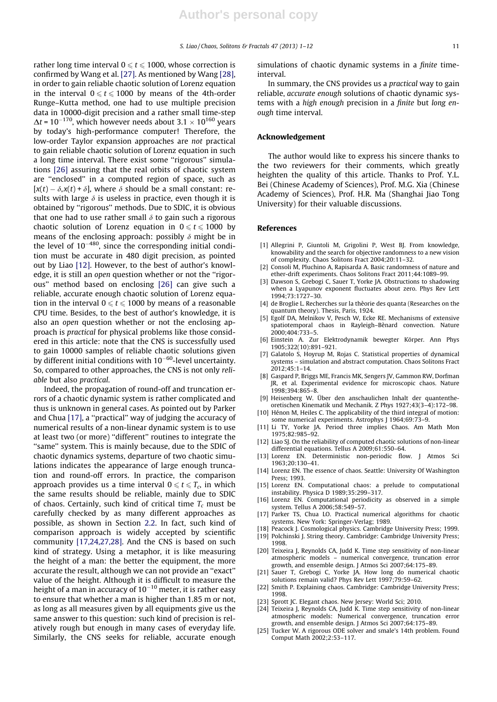rather long time interval  $0 \le t \le 1000$ , whose correction is confirmed by Wang et al. [27]. As mentioned by Wang [28], in order to gain reliable chaotic solution of Lorenz equation in the interval  $0 \le t \le 1000$  by means of the 4th-order Runge–Kutta method, one had to use multiple precision data in 10000-digit precision and a rather small time-step  $\Delta t$  = 10<sup>–170</sup>, which however needs about 3.1  $\times$  10<sup>160</sup> years by today's high-performance computer! Therefore, the low-order Taylor expansion approaches are not practical to gain reliable chaotic solution of Lorenz equation in such a long time interval. There exist some "rigorous" simulations [26] assuring that the real orbits of chaotic system are ''enclosed'' in a computed region of space, such as  $[x(t) - \delta, x(t) + \delta]$ , where  $\delta$  should be a small constant: results with large  $\delta$  is useless in practice, even though it is obtained by ''rigorous'' methods. Due to SDIC, it is obvious that one had to use rather small  $\delta$  to gain such a rigorous chaotic solution of Lorenz equation in  $0 \le t \le 1000$  by means of the enclosing approach: possibly  $\delta$  might be in the level of 10<sup>-480</sup>, since the corresponding initial condition must be accurate in 480 digit precision, as pointed out by Liao [12]. However, to the best of author's knowledge, it is still an open question whether or not the "rigorous'' method based on enclosing [26] can give such a reliable, accurate enough chaotic solution of Lorenz equation in the interval  $0 \le t \le 1000$  by means of a reasonable CPU time. Besides, to the best of author's knowledge, it is also an open question whether or not the enclosing approach is practical for physical problems like those considered in this article: note that the CNS is successfully used to gain 10000 samples of reliable chaotic solutions given by different initial conditions with 10<sup>–60</sup>-level uncertainty. So, compared to other approaches, the CNS is not only reliable but also practical.

Indeed, the propagation of round-off and truncation errors of a chaotic dynamic system is rather complicated and thus is unknown in general cases. As pointed out by Parker and Chua [17], a ''practical'' way of judging the accuracy of numerical results of a non-linear dynamic system is to use at least two (or more) ''different'' routines to integrate the ''same'' system. This is mainly because, due to the SDIC of chaotic dynamics systems, departure of two chaotic simulations indicates the appearance of large enough truncation and round-off errors. In practice, the comparison approach provides us a time interval  $0 \le t \le T_c$ , in which the same results should be reliable, mainly due to SDIC of chaos. Certainly, such kind of critical time  $T_c$  must be carefully checked by as many different approaches as possible, as shown in Section 2.2. In fact, such kind of comparison approach is widely accepted by scientific community [17,24,27,28]. And the CNS is based on such kind of strategy. Using a metaphor, it is like measuring the height of a man: the better the equipment, the more accurate the result, although we can not provide an ''exact'' value of the height. Although it is difficult to measure the height of a man in accuracy of 10 $^{\rm -10}$  meter, it is rather easy to ensure that whether a man is higher than 1.85 m or not, as long as all measures given by all equipments give us the same answer to this question: such kind of precision is relatively rough but enough in many cases of everyday life. Similarly, the CNS seeks for reliable, accurate enough

simulations of chaotic dynamic systems in a *finite* timeinterval.

In summary, the CNS provides us a practical way to gain reliable, accurate enough solutions of chaotic dynamic systems with a high enough precision in a finite but long enough time interval.

## Acknowledgement

The author would like to express his sincere thanks to the two reviewers for their comments, which greatly heighten the quality of this article. Thanks to Prof. Y.L. Bei (Chinese Academy of Sciences), Prof. M.G. Xia (Chinese Academy of Sciences), Prof. H.R. Ma (Shanghai Jiao Tong University) for their valuable discussions.

#### References

- [1] Allegrini P, Giuntoli M, Grigolini P, West BJ. From knowledge, knowability and the search for objective randomness to a new vision of complexity. Chaos Solitons Fract 2004;20:11–32.
- [2] Consoli M, Pluchino A, Rapisarda A. Basic randomness of nature and ether-drift experiments. Chaos Solitons Fract 2011;44:1089–99.
- [3] Dawson S, Grebogi C, Sauer T, Yorke JA. Obstructions to shadowing when a Lyapunov exponent fluctuates about zero. Phys Rev Lett 1994;73:1727–30.
- [4] de Broglie L. Recherches sur la thèorie des quanta (Researches on the quantum theory). Thesis, Paris, 1924.
- Egolf DA, Melnikov V, Pesch W, Ecke RE. Mechanisms of extensive spatiotemporal chaos in Rayleigh–Bènard convection. Nature 2000;404:733–5.
- [6] Einstein A. Zur Elektrodynamik bewegter Körper. Ann Phys 1905;322(10):891–921.
- Galatolo S, Hoyrup M, Rojas C. Statistical properties of dynamical systems – simulation and abstract computation. Chaos Solitons Fract 2012;45:1–14.
- [8] Gaspard P, Briggs ME, Francis MK, Sengers JV, Gammon RW, Dorfman JR, et al. Experimental evidence for microscopic chaos. Nature 1998;394:865–8.
- [9] Heisenberg W. Über den anschaulichen Inhalt der quantentheoretischen Kinematik und Mechanik. Z Phys 1927;43(3–4):172–98.
- [10] Hénon M, Heiles C. The applicability of the third integral of motion: some numerical experiments. Astrophys J 1964;69:73–9.
- [11] Li TY, Yorke JA. Period three implies Chaos. Am Math Mon 1975;82:985–92.
- [12] Liao SJ. On the reliability of computed chaotic solutions of non-linear differential equations. Tellus A 2009;61:550–64.
- [13] Lorenz EN. Deterministic non-periodic flow. J Atmos Sci 1963;20:130–41.
- [14] Lorenz EN. The essence of chaos. Seattle: University Of Washington Press; 1993.
- [15] Lorenz EN. Computational chaos: a prelude to computational instability. Physica D 1989;35:299–317.
- [16] Lorenz EN. Computational periodicity as observed in a simple system. Tellus A 2006;58:549–57.
- [17] Parker TS, Chua LO. Practical numerical algorithms for chaotic systems. New York: Springer-Verlag; 1989.
- [18] Peacock J. Cosmological physics. Cambridge University Press; 1999.
- [19] Polchinski J. String theory. Cambridge: Cambridge University Press; 1998.
- [20] Teixeira J, Reynolds CA, Judd K. Time step sensitivity of non-linear atmospheric models – numerical convergence, truncation error growth, and ensemble design. J Atmos Sci 2007;64:175–89.
- [21] Sauer T, Grebogi C, Yorke JA. How long do numerical chaotic solutions remain valid? Phys Rev Lett 1997;79:59–62.
- [22] Smith P. Explaining chaos. Cambridge: Cambridge University Press; 1998.
- [23] Sprott JC. Elegant chaos. New Jersey: World Sci; 2010.
- [24] Teixeira J, Reynolds CA, Judd K. Time step sensitivity of non-linear atmospheric models: Numerical convergence, truncation error growth, and ensemble design. J Atmos Sci 2007;64:175–89.
- [25] Tucker W. A rigorous ODE solver and smale's 14th problem. Found Comput Math 2002;2:53–117.